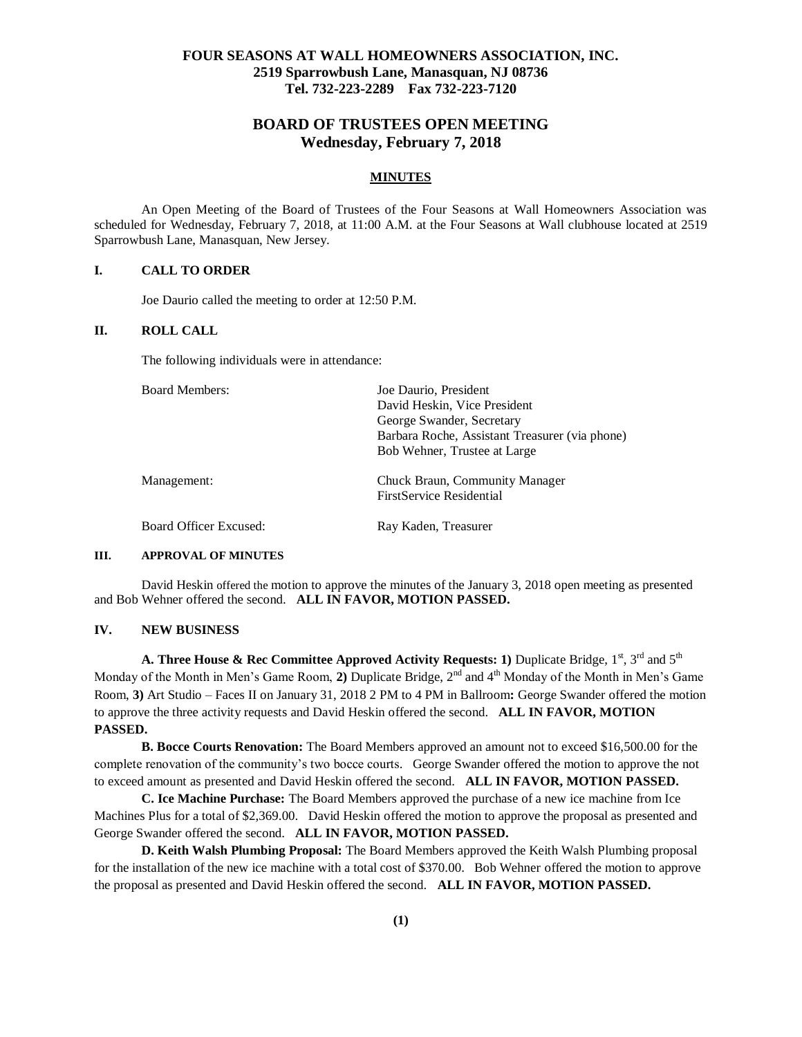# **FOUR SEASONS AT WALL HOMEOWNERS ASSOCIATION, INC. 2519 Sparrowbush Lane, Manasquan, NJ 08736 Tel. 732-223-2289 Fax 732-223-7120**

# **BOARD OF TRUSTEES OPEN MEETING Wednesday, February 7, 2018**

#### **MINUTES**

An Open Meeting of the Board of Trustees of the Four Seasons at Wall Homeowners Association was scheduled for Wednesday, February 7, 2018, at 11:00 A.M. at the Four Seasons at Wall clubhouse located at 2519 Sparrowbush Lane, Manasquan, New Jersey.

#### **I. CALL TO ORDER**

Joe Daurio called the meeting to order at 12:50 P.M.

### **II. ROLL CALL**

The following individuals were in attendance:

| <b>Board Members:</b>  | Joe Daurio, President                                             |
|------------------------|-------------------------------------------------------------------|
|                        | David Heskin, Vice President                                      |
|                        | George Swander, Secretary                                         |
|                        | Barbara Roche, Assistant Treasurer (via phone)                    |
|                        | Bob Wehner, Trustee at Large                                      |
| Management:            | Chuck Braun, Community Manager<br><b>FirstService Residential</b> |
| Board Officer Excused: | Ray Kaden, Treasurer                                              |

# **III. APPROVAL OF MINUTES**

David Heskin offered the motion to approve the minutes of the January 3, 2018 open meeting as presented and Bob Wehner offered the second. **ALL IN FAVOR, MOTION PASSED.**

#### **IV. NEW BUSINESS**

**A. Three House & Rec Committee Approved Activity Requests: 1) Duplicate Bridge, 1<sup>st</sup>, 3<sup>rd</sup> and 5<sup>th</sup>** Monday of the Month in Men's Game Room, 2) Duplicate Bridge, 2<sup>nd</sup> and 4<sup>th</sup> Monday of the Month in Men's Game Room, **3)** Art Studio – Faces II on January 31, 2018 2 PM to 4 PM in Ballroom**:** George Swander offered the motion to approve the three activity requests and David Heskin offered the second. **ALL IN FAVOR, MOTION PASSED.**

**B. Bocce Courts Renovation:** The Board Members approved an amount not to exceed \$16,500.00 for the complete renovation of the community's two bocce courts. George Swander offered the motion to approve the not to exceed amount as presented and David Heskin offered the second. **ALL IN FAVOR, MOTION PASSED.**

**C. Ice Machine Purchase:** The Board Members approved the purchase of a new ice machine from Ice Machines Plus for a total of \$2,369.00. David Heskin offered the motion to approve the proposal as presented and George Swander offered the second. **ALL IN FAVOR, MOTION PASSED.**

**D. Keith Walsh Plumbing Proposal:** The Board Members approved the Keith Walsh Plumbing proposal for the installation of the new ice machine with a total cost of \$370.00. Bob Wehner offered the motion to approve the proposal as presented and David Heskin offered the second. **ALL IN FAVOR, MOTION PASSED.**